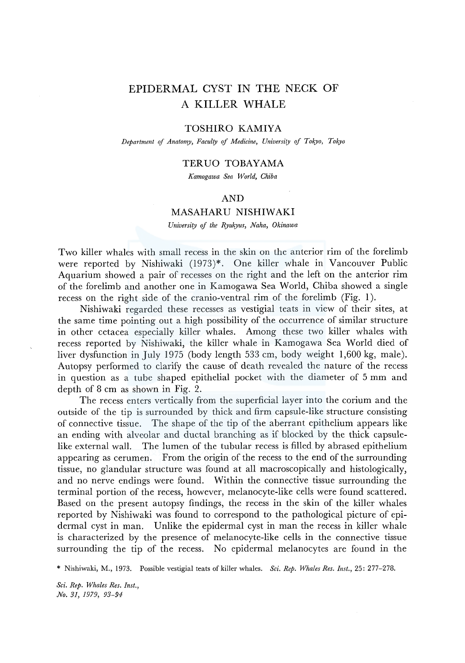# EPIDERMAL CYST IN THE NECK OF A KILLER WHALE

### TOSHIRO KAMIYA

*Department* ef *Anatomy, Faculty* ef *Medicine, University of Tokyo, Tokyo* 

#### TERUO TOBAYAMA

*Kamogawa Sea World, Chiba* 

#### AND

#### MASAHARU NISHIWAKI

*University* ef *the Ryukyus, Naha, Okinawa* 

Two killer whales with small recess in the skin on the anterior rim of the forelimb were reported by Nishiwaki (1973)\*. One killer whale in Vancouver Public Aquarium showed a pair of recesses on the right and the left on the anterior rim of the forelimb and another one in Kamogawa Sea World, Chiba showed a single recess on the right side of the cranio-ventral rim of the forelimb (Fig. 1).

Nishiwaki regarded these recesses as vestigial teats in view of their sites, at the same time pointing out a high possibility of the occurrence of similar structure in other cetacea especially killer whales. Among these two killer whales with recess reported by Nishiwaki, the killer whale in Kamogawa Sea World died of liver dysfunction in July 1975 (body length 533 cm, body weight 1,600 kg, male). Autopsy performed to clarify the cause of death revealed the nature of the recess in question as a tube shaped epithelial pocket with the diameter of 5 mm and depth of 8 cm as shown in Fig. 2.

The recess enters vertically from the superficial layer into the corium and the outside of the tip is surrounded by thick and firm capsule-like structure consisting of connective tissue. The shape of the tip of the aberrant epithelium appears like an ending with alveolar and ductal branching as if blocked by the thick capsulelike external wall. The lumen of the tubular recess is filled by abrased epithelium appearing as cerumen. From the origin of the recess to the end of the surrounding tissue, no glandular structure was found at all macroscopically and histologically, and no nerve endings were found. Within the connective tissue surrounding the terminal portion of the recess, however, melanocyte-like cells were found scattered. Based on the present autopsy findings, the recess in the skin of the killer whales reported by Nishiwaki was found to correspond to the pathological picture of epidermal cyst in man. Unlike the epidermal cyst in man the recess in killer whale is characterized by the presence of melanocyte-like cells in the connective tissue surrounding the tip of the recess. No epidermal melanocytes are found in the

\* Nishiwaki, M., 1973. Possible vestigial teats of killer whales. *Sci. Rep. Whales Res. Inst.,* 25: 277-278.

*Sci. Rep. Whales Res. Inst., No. 31, 1979, 93-94*